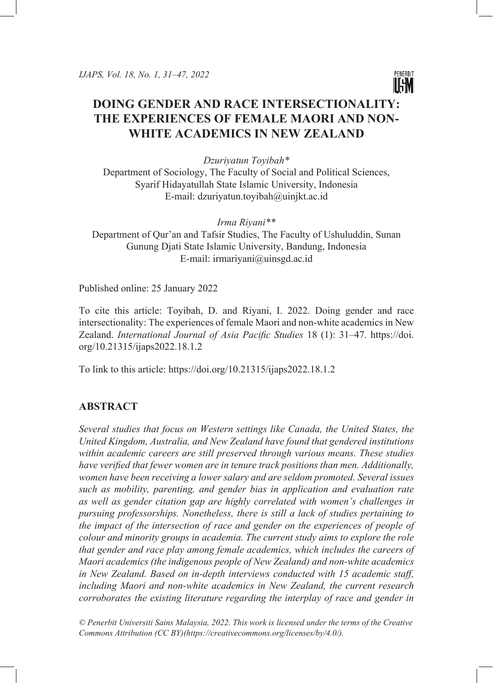

# **DOING GENDER AND RACE INTERSECTIONALITY: THE EXPERIENCES OF FEMALE MAORI AND NON-WHITE ACADEMICS IN NEW ZEALAND**

*Dzuriyatun Toyibah\**

Department of Sociology, The Faculty of Social and Political Sciences, Syarif Hidayatullah State Islamic University, Indonesia E-mail: dzuriyatun.toyibah@uinjkt.ac.id

*Irma Riyani\*\** Department of Qur'an and Tafsir Studies, The Faculty of Ushuluddin, Sunan Gunung Djati State Islamic University, Bandung, Indonesia E-mail: irmariyani@uinsgd.ac.id

Published online: 25 January 2022

To cite this article: Toyibah, D. and Riyani, I. 2022. Doing gender and race intersectionality: The experiences of female Maori and non-white academics in New Zealand. *International Journal of Asia Pacific Studies* 18 (1): 31–47. https://doi. org/10.21315/ijaps2022.18.1.2

To link to this article: https://doi.org/10.21315/ijaps2022.18.1.2

# **ABSTRACT**

*Several studies that focus on Western settings like Canada, the United States, the United Kingdom, Australia, and New Zealand have found that gendered institutions within academic careers are still preserved through various means. These studies have verified that fewer women are in tenure track positions than men. Additionally, women have been receiving a lower salary and are seldom promoted. Several issues such as mobility, parenting, and gender bias in application and evaluation rate as well as gender citation gap are highly correlated with women's challenges in pursuing professorships. Nonetheless, there is still a lack of studies pertaining to the impact of the intersection of race and gender on the experiences of people of colour and minority groups in academia. The current study aims to explore the role that gender and race play among female academics, which includes the careers of Maori academics (the indigenous people of New Zealand) and non-white academics in New Zealand. Based on in-depth interviews conducted with 15 academic staff, including Maori and non-white academics in New Zealand, the current research corroborates the existing literature regarding the interplay of race and gender in* 

*© Penerbit Universiti Sains Malaysia, 2022. This work is licensed under the terms of the Creative Commons Attribution (CC BY)(https://creativecommons.org/licenses/by/4.0/).*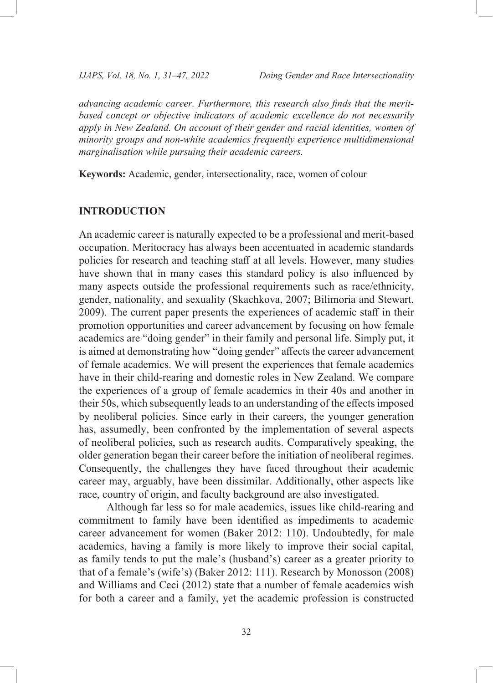*advancing academic career. Furthermore, this research also finds that the meritbased concept or objective indicators of academic excellence do not necessarily apply in New Zealand. On account of their gender and racial identities, women of minority groups and non-white academics frequently experience multidimensional marginalisation while pursuing their academic careers.*

**Keywords:** Academic, gender, intersectionality, race, women of colour

# **INTRODUCTION**

An academic career is naturally expected to be a professional and merit-based occupation. Meritocracy has always been accentuated in academic standards policies for research and teaching staff at all levels. However, many studies have shown that in many cases this standard policy is also influenced by many aspects outside the professional requirements such as race/ethnicity, gender, nationality, and sexuality (Skachkova, 2007; Bilimoria and Stewart, 2009). The current paper presents the experiences of academic staff in their promotion opportunities and career advancement by focusing on how female academics are "doing gender" in their family and personal life. Simply put, it is aimed at demonstrating how "doing gender" affects the career advancement of female academics. We will present the experiences that female academics have in their child-rearing and domestic roles in New Zealand. We compare the experiences of a group of female academics in their 40s and another in their 50s, which subsequently leads to an understanding of the effects imposed by neoliberal policies. Since early in their careers, the younger generation has, assumedly, been confronted by the implementation of several aspects of neoliberal policies, such as research audits. Comparatively speaking, the older generation began their career before the initiation of neoliberal regimes. Consequently, the challenges they have faced throughout their academic career may, arguably, have been dissimilar. Additionally, other aspects like race, country of origin, and faculty background are also investigated.

Although far less so for male academics, issues like child-rearing and commitment to family have been identified as impediments to academic career advancement for women (Baker 2012: 110). Undoubtedly, for male academics, having a family is more likely to improve their social capital, as family tends to put the male's (husband's) career as a greater priority to that of a female's (wife's) (Baker 2012: 111). Research by Monosson (2008) and Williams and Ceci (2012) state that a number of female academics wish for both a career and a family, yet the academic profession is constructed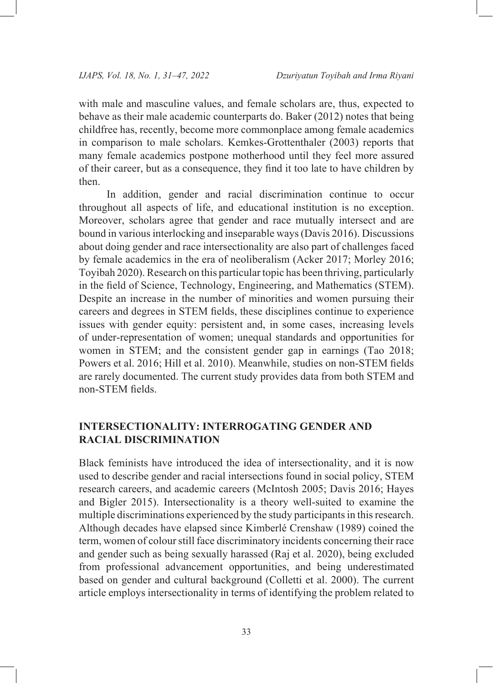with male and masculine values, and female scholars are, thus, expected to behave as their male academic counterparts do. Baker (2012) notes that being childfree has, recently, become more commonplace among female academics in comparison to male scholars. Kemkes-Grottenthaler (2003) reports that many female academics postpone motherhood until they feel more assured of their career, but as a consequence, they find it too late to have children by then.

In addition, gender and racial discrimination continue to occur throughout all aspects of life, and educational institution is no exception. Moreover, scholars agree that gender and race mutually intersect and are bound in various interlocking and inseparable ways (Davis 2016). Discussions about doing gender and race intersectionality are also part of challenges faced by female academics in the era of neoliberalism (Acker 2017; Morley 2016; Toyibah 2020). Research on this particular topic has been thriving, particularly in the field of Science, Technology, Engineering, and Mathematics (STEM). Despite an increase in the number of minorities and women pursuing their careers and degrees in STEM fields, these disciplines continue to experience issues with gender equity: persistent and, in some cases, increasing levels of under-representation of women; unequal standards and opportunities for women in STEM; and the consistent gender gap in earnings (Tao 2018; Powers et al. 2016; Hill et al. 2010). Meanwhile, studies on non-STEM fields are rarely documented. The current study provides data from both STEM and non-STEM fields.

# **INTERSECTIONALITY: INTERROGATING GENDER AND RACIAL DISCRIMINATION**

Black feminists have introduced the idea of intersectionality, and it is now used to describe gender and racial intersections found in social policy, STEM research careers, and academic careers (McIntosh 2005; Davis 2016; Hayes and Bigler 2015). Intersectionality is a theory well-suited to examine the multiple discriminations experienced by the study participants in this research. Although decades have elapsed since Kimberlé Crenshaw (1989) coined the term, women of colour still face discriminatory incidents concerning their race and gender such as being sexually harassed (Raj et al. 2020), being excluded from professional advancement opportunities, and being underestimated based on gender and cultural background (Colletti et al. 2000). The current article employs intersectionality in terms of identifying the problem related to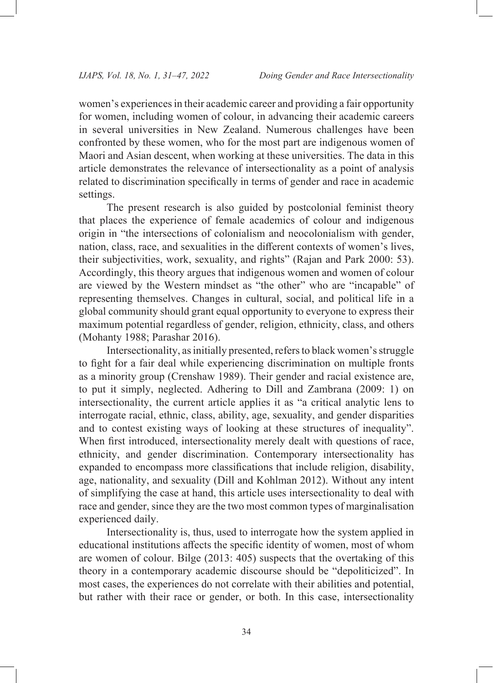women's experiences in their academic career and providing a fair opportunity for women, including women of colour, in advancing their academic careers in several universities in New Zealand. Numerous challenges have been confronted by these women, who for the most part are indigenous women of Maori and Asian descent, when working at these universities. The data in this article demonstrates the relevance of intersectionality as a point of analysis related to discrimination specifically in terms of gender and race in academic settings.

The present research is also guided by postcolonial feminist theory that places the experience of female academics of colour and indigenous origin in "the intersections of colonialism and neocolonialism with gender, nation, class, race, and sexualities in the different contexts of women's lives, their subjectivities, work, sexuality, and rights" (Rajan and Park 2000: 53). Accordingly, this theory argues that indigenous women and women of colour are viewed by the Western mindset as "the other" who are "incapable" of representing themselves. Changes in cultural, social, and political life in a global community should grant equal opportunity to everyone to express their maximum potential regardless of gender, religion, ethnicity, class, and others (Mohanty 1988; Parashar 2016).

Intersectionality, as initially presented, refers to black women's struggle to fight for a fair deal while experiencing discrimination on multiple fronts as a minority group (Crenshaw 1989). Their gender and racial existence are, to put it simply, neglected. Adhering to Dill and Zambrana (2009: 1) on intersectionality, the current article applies it as "a critical analytic lens to interrogate racial, ethnic, class, ability, age, sexuality, and gender disparities and to contest existing ways of looking at these structures of inequality". When first introduced, intersectionality merely dealt with questions of race, ethnicity, and gender discrimination. Contemporary intersectionality has expanded to encompass more classifications that include religion, disability, age, nationality, and sexuality (Dill and Kohlman 2012). Without any intent of simplifying the case at hand, this article uses intersectionality to deal with race and gender, since they are the two most common types of marginalisation experienced daily.

Intersectionality is, thus, used to interrogate how the system applied in educational institutions affects the specific identity of women, most of whom are women of colour. Bilge (2013: 405) suspects that the overtaking of this theory in a contemporary academic discourse should be "depoliticized". In most cases, the experiences do not correlate with their abilities and potential, but rather with their race or gender, or both. In this case, intersectionality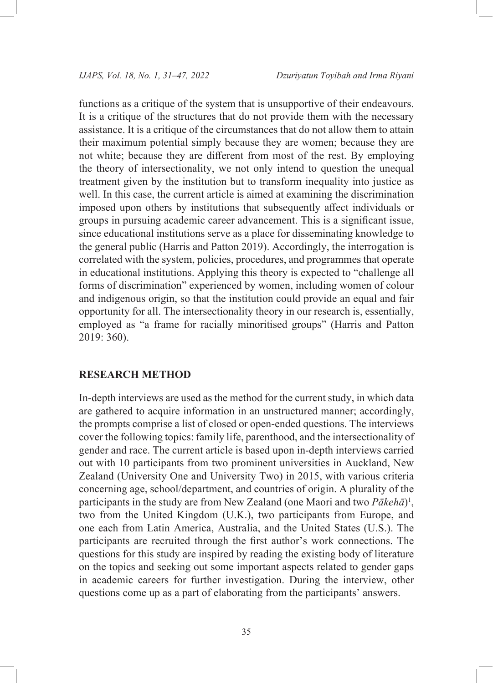functions as a critique of the system that is unsupportive of their endeavours. It is a critique of the structures that do not provide them with the necessary assistance. It is a critique of the circumstances that do not allow them to attain their maximum potential simply because they are women; because they are not white; because they are different from most of the rest. By employing the theory of intersectionality, we not only intend to question the unequal treatment given by the institution but to transform inequality into justice as well. In this case, the current article is aimed at examining the discrimination imposed upon others by institutions that subsequently affect individuals or groups in pursuing academic career advancement. This is a significant issue, since educational institutions serve as a place for disseminating knowledge to the general public (Harris and Patton 2019). Accordingly, the interrogation is correlated with the system, policies, procedures, and programmes that operate in educational institutions. Applying this theory is expected to "challenge all forms of discrimination" experienced by women, including women of colour and indigenous origin, so that the institution could provide an equal and fair opportunity for all. The intersectionality theory in our research is, essentially, employed as "a frame for racially minoritised groups" (Harris and Patton 2019: 360).

# **RESEARCH METHOD**

In-depth interviews are used as the method for the current study, in which data are gathered to acquire information in an unstructured manner; accordingly, the prompts comprise a list of closed or open-ended questions. The interviews cover the following topics: family life, parenthood, and the intersectionality of gender and race. The current article is based upon in-depth interviews carried out with 10 participants from two prominent universities in Auckland, New Zealand (University One and University Two) in 2015, with various criteria concerning age, school/department, and countries of origin. A plurality of the participants in the study are from New Zealand (one Maori and two Pākehā)<sup>1</sup>, two from the United Kingdom (U.K.), two participants from Europe, and one each from Latin America, Australia, and the United States (U.S.). The participants are recruited through the first author's work connections. The questions for this study are inspired by reading the existing body of literature on the topics and seeking out some important aspects related to gender gaps in academic careers for further investigation. During the interview, other questions come up as a part of elaborating from the participants' answers.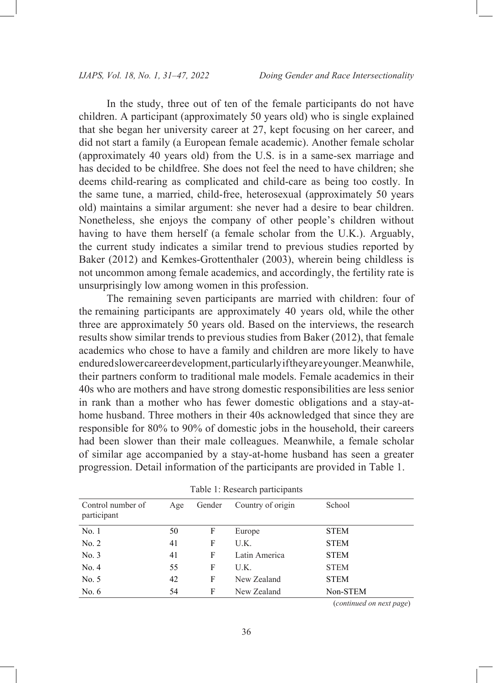In the study, three out of ten of the female participants do not have children. A participant (approximately 50 years old) who is single explained that she began her university career at 27, kept focusing on her career, and did not start a family (a European female academic). Another female scholar (approximately 40 years old) from the U.S. is in a same-sex marriage and has decided to be childfree. She does not feel the need to have children; she deems child-rearing as complicated and child-care as being too costly. In the same tune, a married, child-free, heterosexual (approximately 50 years old) maintains a similar argument: she never had a desire to bear children. Nonetheless, she enjoys the company of other people's children without having to have them herself (a female scholar from the U.K.). Arguably, the current study indicates a similar trend to previous studies reported by Baker (2012) and Kemkes-Grottenthaler (2003), wherein being childless is not uncommon among female academics, and accordingly, the fertility rate is unsurprisingly low among women in this profession.

The remaining seven participants are married with children: four of the remaining participants are approximately 40 years old, while the other three are approximately 50 years old. Based on the interviews, the research results show similar trends to previous studies from Baker (2012), that female academics who chose to have a family and children are more likely to have endured slower career development, particularly if they are younger. Meanwhile, their partners conform to traditional male models. Female academics in their 40s who are mothers and have strong domestic responsibilities are less senior in rank than a mother who has fewer domestic obligations and a stay-athome husband. Three mothers in their 40s acknowledged that since they are responsible for 80% to 90% of domestic jobs in the household, their careers had been slower than their male colleagues. Meanwhile, a female scholar of similar age accompanied by a stay-at-home husband has seen a greater progression. Detail information of the participants are provided in Table 1.

| Control number of<br>participant | Age | Gender | Country of origin | School      |
|----------------------------------|-----|--------|-------------------|-------------|
| No. 1                            | 50  | F      | Europe            | <b>STEM</b> |
| No. 2                            | 41  | F      | U.K.              | <b>STEM</b> |
| No. 3                            | 41  | F      | Latin America     | <b>STEM</b> |
| No. 4                            | 55  | F      | U.K.              | <b>STEM</b> |
| No. 5                            | 42  | F      | New Zealand       | <b>STEM</b> |
| No. $6$                          | 54  | F      | New Zealand       | Non-STEM    |

Table 1: Research participants

(*continued on next page*)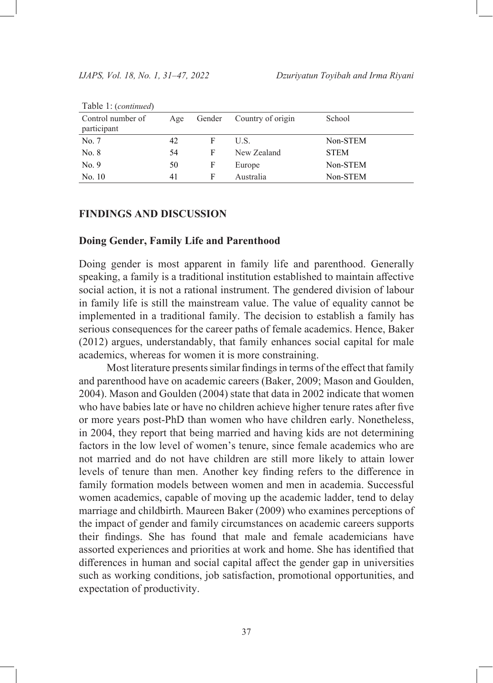| $1$ and $1$ . (commence)         |     |   |                          |             |  |  |  |  |
|----------------------------------|-----|---|--------------------------|-------------|--|--|--|--|
| Control number of<br>participant | Age |   | Gender Country of origin | School      |  |  |  |  |
| No. 7                            | 42  | F | U.S.                     | Non-STEM    |  |  |  |  |
| No. 8                            | 54  | F | New Zealand              | <b>STEM</b> |  |  |  |  |
| No. 9                            | 50  | F | Europe                   | Non-STEM    |  |  |  |  |
| No. 10                           | 41  | F | Australia                | Non-STEM    |  |  |  |  |

Table 1: (*continued*)

#### **FINDINGS AND DISCUSSION**

#### **Doing Gender, Family Life and Parenthood**

Doing gender is most apparent in family life and parenthood. Generally speaking, a family is a traditional institution established to maintain affective social action, it is not a rational instrument. The gendered division of labour in family life is still the mainstream value. The value of equality cannot be implemented in a traditional family. The decision to establish a family has serious consequences for the career paths of female academics. Hence, Baker (2012) argues, understandably, that family enhances social capital for male academics, whereas for women it is more constraining.

Most literature presents similar findings in terms of the effect that family and parenthood have on academic careers (Baker, 2009; Mason and Goulden, 2004). Mason and Goulden (2004) state that data in 2002 indicate that women who have babies late or have no children achieve higher tenure rates after five or more years post-PhD than women who have children early. Nonetheless, in 2004, they report that being married and having kids are not determining factors in the low level of women's tenure, since female academics who are not married and do not have children are still more likely to attain lower levels of tenure than men. Another key finding refers to the difference in family formation models between women and men in academia. Successful women academics, capable of moving up the academic ladder, tend to delay marriage and childbirth. Maureen Baker (2009) who examines perceptions of the impact of gender and family circumstances on academic careers supports their findings. She has found that male and female academicians have assorted experiences and priorities at work and home. She has identified that differences in human and social capital affect the gender gap in universities such as working conditions, job satisfaction, promotional opportunities, and expectation of productivity.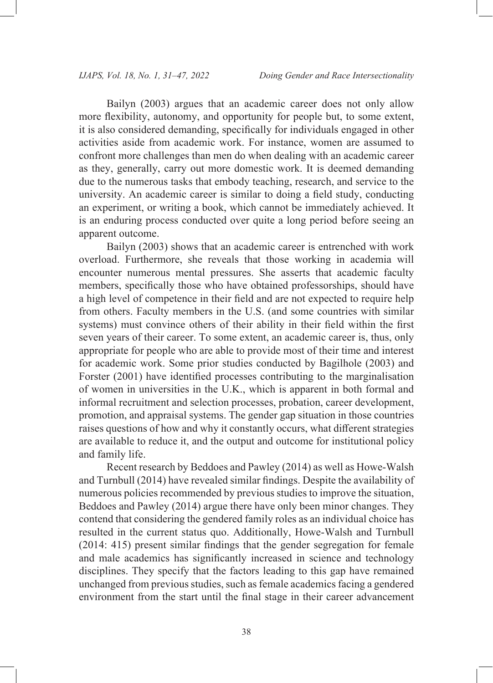Bailyn (2003) argues that an academic career does not only allow more flexibility, autonomy, and opportunity for people but, to some extent, it is also considered demanding, specifically for individuals engaged in other activities aside from academic work. For instance, women are assumed to confront more challenges than men do when dealing with an academic career as they, generally, carry out more domestic work. It is deemed demanding due to the numerous tasks that embody teaching, research, and service to the university. An academic career is similar to doing a field study, conducting an experiment, or writing a book, which cannot be immediately achieved. It is an enduring process conducted over quite a long period before seeing an apparent outcome.

Bailyn (2003) shows that an academic career is entrenched with work overload. Furthermore, she reveals that those working in academia will encounter numerous mental pressures. She asserts that academic faculty members, specifically those who have obtained professorships, should have a high level of competence in their field and are not expected to require help from others. Faculty members in the U.S. (and some countries with similar systems) must convince others of their ability in their field within the first seven years of their career. To some extent, an academic career is, thus, only appropriate for people who are able to provide most of their time and interest for academic work. Some prior studies conducted by Bagilhole (2003) and Forster (2001) have identified processes contributing to the marginalisation of women in universities in the U.K., which is apparent in both formal and informal recruitment and selection processes, probation, career development, promotion, and appraisal systems. The gender gap situation in those countries raises questions of how and why it constantly occurs, what different strategies are available to reduce it, and the output and outcome for institutional policy and family life.

Recent research by Beddoes and Pawley (2014) as well as Howe-Walsh and Turnbull (2014) have revealed similar findings. Despite the availability of numerous policies recommended by previous studies to improve the situation, Beddoes and Pawley (2014) argue there have only been minor changes. They contend that considering the gendered family roles as an individual choice has resulted in the current status quo. Additionally, Howe-Walsh and Turnbull (2014: 415) present similar findings that the gender segregation for female and male academics has significantly increased in science and technology disciplines. They specify that the factors leading to this gap have remained unchanged from previous studies, such as female academics facing a gendered environment from the start until the final stage in their career advancement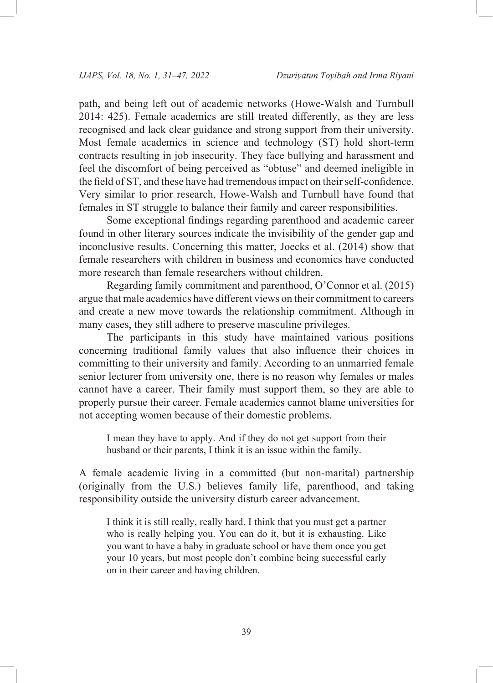path, and being left out of academic networks (Howe-Walsh and Turnbull 2014: 425). Female academics are still treated differently, as they are less recognised and lack clear guidance and strong support from their university. Most female academics in science and technology (ST) hold short-term contracts resulting in job insecurity. They face bullying and harassment and feel the discomfort of being perceived as "obtuse" and deemed ineligible in the field of ST, and these have had tremendous impact on their self-confidence. Very similar to prior research, Howe-Walsh and Turnbull have found that females in ST struggle to balance their family and career responsibilities.

Some exceptional findings regarding parenthood and academic career found in other literary sources indicate the invisibility of the gender gap and inconclusive results. Concerning this matter, Joecks et al. (2014) show that female researchers with children in business and economics have conducted more research than female researchers without children.

Regarding family commitment and parenthood, O'Connor et al. (2015) argue that male academics have different views on their commitment to careers and create a new move towards the relationship commitment. Although in many cases, they still adhere to preserve masculine privileges.

The participants in this study have maintained various positions concerning traditional family values that also influence their choices in committing to their university and family. According to an unmarried female senior lecturer from university one, there is no reason why females or males cannot have a career. Their family must support them, so they are able to properly pursue their career. Female academics cannot blame universities for not accepting women because of their domestic problems.

I mean they have to apply. And if they do not get support from their husband or their parents, I think it is an issue within the family.

A female academic living in a committed (but non-marital) partnership (originally from the U.S.) believes family life, parenthood, and taking responsibility outside the university disturb career advancement.

I think it is still really, really hard. I think that you must get a partner who is really helping you. You can do it, but it is exhausting. Like you want to have a baby in graduate school or have them once you get your 10 years, but most people don't combine being successful early on in their career and having children.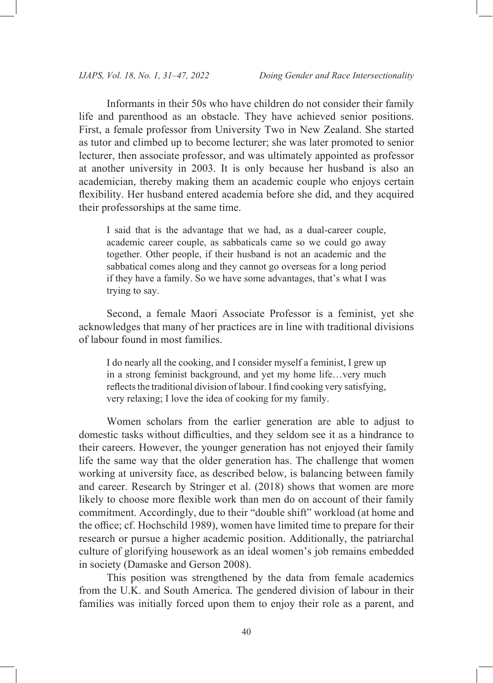Informants in their 50s who have children do not consider their family life and parenthood as an obstacle. They have achieved senior positions. First, a female professor from University Two in New Zealand. She started as tutor and climbed up to become lecturer; she was later promoted to senior lecturer, then associate professor, and was ultimately appointed as professor at another university in 2003. It is only because her husband is also an academician, thereby making them an academic couple who enjoys certain flexibility. Her husband entered academia before she did, and they acquired their professorships at the same time.

I said that is the advantage that we had, as a dual-career couple, academic career couple, as sabbaticals came so we could go away together. Other people, if their husband is not an academic and the sabbatical comes along and they cannot go overseas for a long period if they have a family. So we have some advantages, that's what I was trying to say.

Second, a female Maori Associate Professor is a feminist, yet she acknowledges that many of her practices are in line with traditional divisions of labour found in most families.

I do nearly all the cooking, and I consider myself a feminist, I grew up in a strong feminist background, and yet my home life…very much reflects the traditional division of labour. I find cooking very satisfying, very relaxing; I love the idea of cooking for my family.

Women scholars from the earlier generation are able to adjust to domestic tasks without difficulties, and they seldom see it as a hindrance to their careers. However, the younger generation has not enjoyed their family life the same way that the older generation has. The challenge that women working at university face, as described below, is balancing between family and career. Research by Stringer et al. (2018) shows that women are more likely to choose more flexible work than men do on account of their family commitment. Accordingly, due to their "double shift" workload (at home and the office; cf. Hochschild 1989), women have limited time to prepare for their research or pursue a higher academic position. Additionally, the patriarchal culture of glorifying housework as an ideal women's job remains embedded in society (Damaske and Gerson 2008).

This position was strengthened by the data from female academics from the U.K. and South America. The gendered division of labour in their families was initially forced upon them to enjoy their role as a parent, and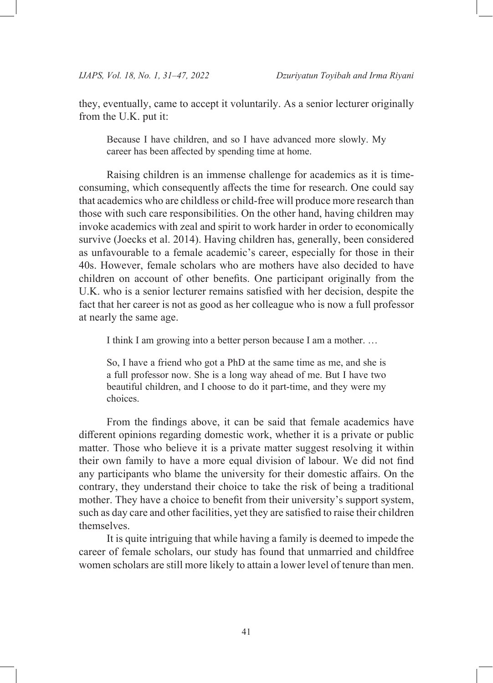they, eventually, came to accept it voluntarily. As a senior lecturer originally from the U.K. put it:

Because I have children, and so I have advanced more slowly. My career has been affected by spending time at home.

Raising children is an immense challenge for academics as it is timeconsuming, which consequently affects the time for research. One could say that academics who are childless or child-free will produce more research than those with such care responsibilities. On the other hand, having children may invoke academics with zeal and spirit to work harder in order to economically survive (Joecks et al. 2014). Having children has, generally, been considered as unfavourable to a female academic's career, especially for those in their 40s. However, female scholars who are mothers have also decided to have children on account of other benefits. One participant originally from the U.K. who is a senior lecturer remains satisfied with her decision, despite the fact that her career is not as good as her colleague who is now a full professor at nearly the same age.

I think I am growing into a better person because I am a mother. …

So, I have a friend who got a PhD at the same time as me, and she is a full professor now. She is a long way ahead of me. But I have two beautiful children, and I choose to do it part-time, and they were my choices.

From the findings above, it can be said that female academics have different opinions regarding domestic work, whether it is a private or public matter. Those who believe it is a private matter suggest resolving it within their own family to have a more equal division of labour. We did not find any participants who blame the university for their domestic affairs. On the contrary, they understand their choice to take the risk of being a traditional mother. They have a choice to benefit from their university's support system, such as day care and other facilities, yet they are satisfied to raise their children themselves.

It is quite intriguing that while having a family is deemed to impede the career of female scholars, our study has found that unmarried and childfree women scholars are still more likely to attain a lower level of tenure than men.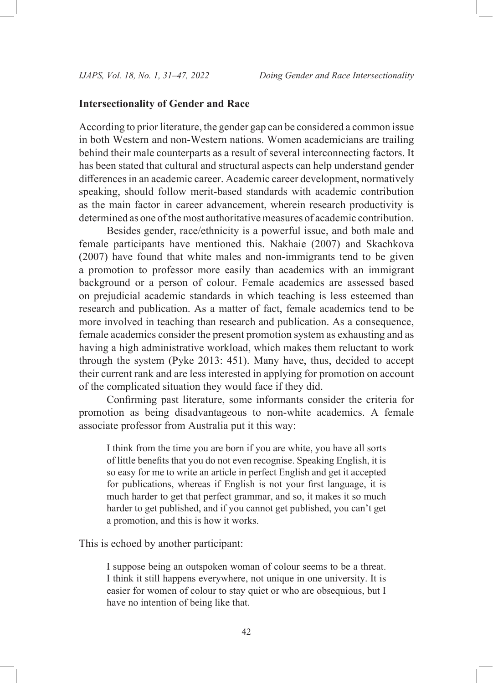# **Intersectionality of Gender and Race**

According to prior literature, the gender gap can be considered a common issue in both Western and non-Western nations. Women academicians are trailing behind their male counterparts as a result of several interconnecting factors. It has been stated that cultural and structural aspects can help understand gender differences in an academic career. Academic career development, normatively speaking, should follow merit-based standards with academic contribution as the main factor in career advancement, wherein research productivity is determined as one of the most authoritative measures of academic contribution.

Besides gender, race/ethnicity is a powerful issue, and both male and female participants have mentioned this. Nakhaie (2007) and Skachkova (2007) have found that white males and non-immigrants tend to be given a promotion to professor more easily than academics with an immigrant background or a person of colour. Female academics are assessed based on prejudicial academic standards in which teaching is less esteemed than research and publication. As a matter of fact, female academics tend to be more involved in teaching than research and publication. As a consequence, female academics consider the present promotion system as exhausting and as having a high administrative workload, which makes them reluctant to work through the system (Pyke 2013: 451). Many have, thus, decided to accept their current rank and are less interested in applying for promotion on account of the complicated situation they would face if they did.

Confirming past literature, some informants consider the criteria for promotion as being disadvantageous to non-white academics. A female associate professor from Australia put it this way:

I think from the time you are born if you are white, you have all sorts of little benefits that you do not even recognise. Speaking English, it is so easy for me to write an article in perfect English and get it accepted for publications, whereas if English is not your first language, it is much harder to get that perfect grammar, and so, it makes it so much harder to get published, and if you cannot get published, you can't get a promotion, and this is how it works.

This is echoed by another participant:

I suppose being an outspoken woman of colour seems to be a threat. I think it still happens everywhere, not unique in one university. It is easier for women of colour to stay quiet or who are obsequious, but I have no intention of being like that.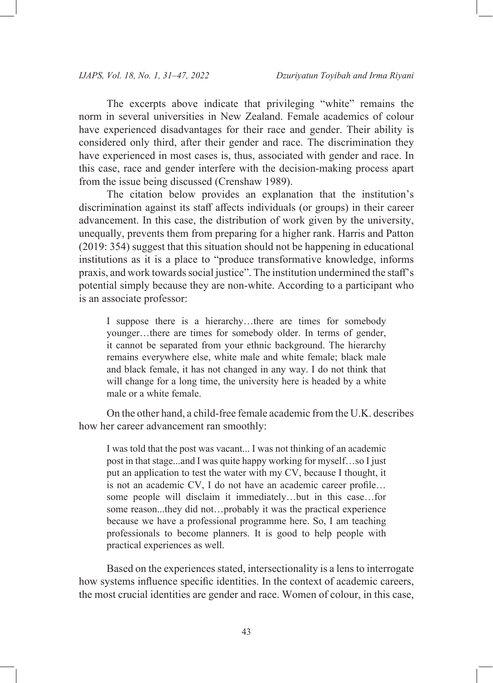The excerpts above indicate that privileging "white" remains the norm in several universities in New Zealand. Female academics of colour have experienced disadvantages for their race and gender. Their ability is considered only third, after their gender and race. The discrimination they have experienced in most cases is, thus, associated with gender and race. In this case, race and gender interfere with the decision-making process apart from the issue being discussed (Crenshaw 1989).

The citation below provides an explanation that the institution's discrimination against its staff affects individuals (or groups) in their career advancement. In this case, the distribution of work given by the university, unequally, prevents them from preparing for a higher rank. Harris and Patton (2019: 354) suggest that this situation should not be happening in educational institutions as it is a place to "produce transformative knowledge, informs praxis, and work towards social justice". The institution undermined the staff's potential simply because they are non-white. According to a participant who is an associate professor:

I suppose there is a hierarchy…there are times for somebody younger…there are times for somebody older. In terms of gender, it cannot be separated from your ethnic background. The hierarchy remains everywhere else, white male and white female; black male and black female, it has not changed in any way. I do not think that will change for a long time, the university here is headed by a white male or a white female.

On the other hand, a child-free female academic from the U.K. describes how her career advancement ran smoothly:

I was told that the post was vacant... I was not thinking of an academic post in that stage...and I was quite happy working for myself…so I just put an application to test the water with my CV, because I thought, it is not an academic CV, I do not have an academic career profile… some people will disclaim it immediately…but in this case…for some reason...they did not…probably it was the practical experience because we have a professional programme here. So, I am teaching professionals to become planners. It is good to help people with practical experiences as well.

Based on the experiences stated, intersectionality is a lens to interrogate how systems influence specific identities. In the context of academic careers, the most crucial identities are gender and race. Women of colour, in this case,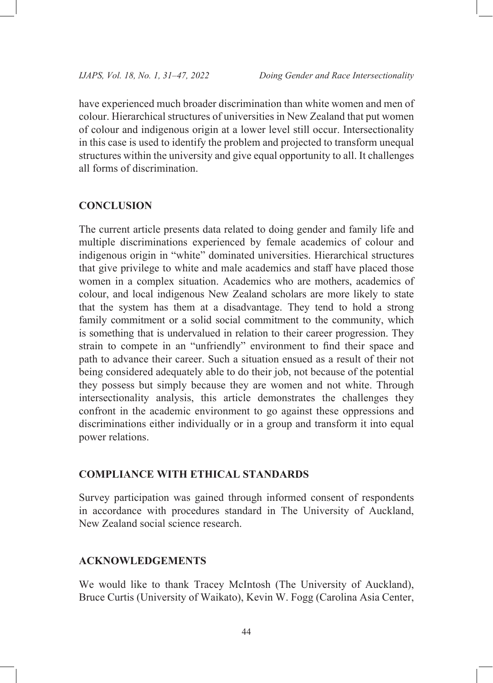have experienced much broader discrimination than white women and men of colour. Hierarchical structures of universities in New Zealand that put women of colour and indigenous origin at a lower level still occur. Intersectionality in this case is used to identify the problem and projected to transform unequal structures within the university and give equal opportunity to all. It challenges all forms of discrimination.

### **CONCLUSION**

The current article presents data related to doing gender and family life and multiple discriminations experienced by female academics of colour and indigenous origin in "white" dominated universities. Hierarchical structures that give privilege to white and male academics and staff have placed those women in a complex situation. Academics who are mothers, academics of colour, and local indigenous New Zealand scholars are more likely to state that the system has them at a disadvantage. They tend to hold a strong family commitment or a solid social commitment to the community, which is something that is undervalued in relation to their career progression. They strain to compete in an "unfriendly" environment to find their space and path to advance their career. Such a situation ensued as a result of their not being considered adequately able to do their job, not because of the potential they possess but simply because they are women and not white. Through intersectionality analysis, this article demonstrates the challenges they confront in the academic environment to go against these oppressions and discriminations either individually or in a group and transform it into equal power relations.

#### **COMPLIANCE WITH ETHICAL STANDARDS**

Survey participation was gained through informed consent of respondents in accordance with procedures standard in The University of Auckland, New Zealand social science research.

### **ACKNOWLEDGEMENTS**

We would like to thank Tracey McIntosh (The University of Auckland), Bruce Curtis (University of Waikato), Kevin W. Fogg (Carolina Asia Center,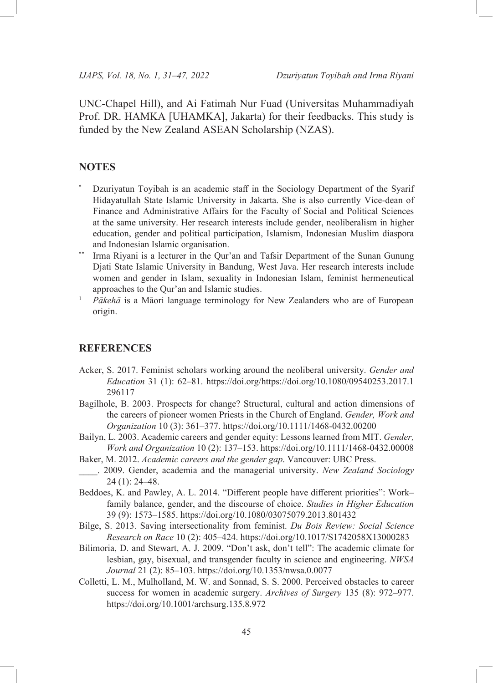UNC-Chapel Hill), and Ai Fatimah Nur Fuad (Universitas Muhammadiyah Prof. DR. HAMKA [UHAMKA], Jakarta) for their feedbacks. This study is funded by the New Zealand ASEAN Scholarship (NZAS).

## **NOTES**

- Dzuriyatun Toyibah is an academic staff in the Sociology Department of the Syarif Hidayatullah State Islamic University in Jakarta. She is also currently Vice-dean of Finance and Administrative Affairs for the Faculty of Social and Political Sciences at the same university. Her research interests include gender, neoliberalism in higher education, gender and political participation, Islamism, Indonesian Muslim diaspora and Indonesian Islamic organisation.
- Irma Riyani is a lecturer in the Qur'an and Tafsir Department of the Sunan Gunung Djati State Islamic University in Bandung, West Java. Her research interests include women and gender in Islam, sexuality in Indonesian Islam, feminist hermeneutical approaches to the Qur'an and Islamic studies.
- <sup>1</sup> *Pākehā* is a Māori language terminology for New Zealanders who are of European origin.

#### **REFERENCES**

- Acker, S. 2017. Feminist scholars working around the neoliberal university. *Gender and Education* 31 (1): 62–81. [https://doi.org/https://doi.org/10.1080/09540253.2017.1](https://doi.org/https://doi.org/10.1080/09540253.2017.1296117) [296117](https://doi.org/https://doi.org/10.1080/09540253.2017.1296117)
- Bagilhole, B. 2003. Prospects for change? Structural, cultural and action dimensions of the careers of pioneer women Priests in the Church of England. *Gender, Work and Organization* 10 (3): 361–377.<https://doi.org/10.1111/1468-0432.00200>
- Bailyn, L. 2003. Academic careers and gender equity: Lessons learned from MIT. *Gender, Work and Organization* 10 (2): 137–153.<https://doi.org/10.1111/1468-0432.00008>
- Baker, M. 2012. *Academic careers and the gender gap*. Vancouver: UBC Press.
- \_\_\_\_. 2009. Gender, academia and the managerial university. *New Zealand Sociology* 24 (1): 24–48.
- Beddoes, K. and Pawley, A. L. 2014. "Different people have different priorities": Work– family balance, gender, and the discourse of choice. *Studies in Higher Education* 39 (9): 1573–1585.<https://doi.org/10.1080/03075079.2013.801432>
- Bilge, S. 2013. Saving intersectionality from feminist. *Du Bois Review: Social Science Research on Race* 10 (2): 405–424. <https://doi.org/10.1017/S1742058X13000283>
- Bilimoria, D. and Stewart, A. J. 2009. "Don't ask, don't tell": The academic climate for lesbian, gay, bisexual, and transgender faculty in science and engineering. *NWSA Journal* 21 (2): 85–103. <https://doi.org/10.1353/nwsa.0.0077>
- Colletti, L. M., Mulholland, M. W. and Sonnad, S. S. 2000. Perceived obstacles to career success for women in academic surgery. *Archives of Surgery* 135 (8): 972–977. <https://doi.org/10.1001/archsurg.135.8.972>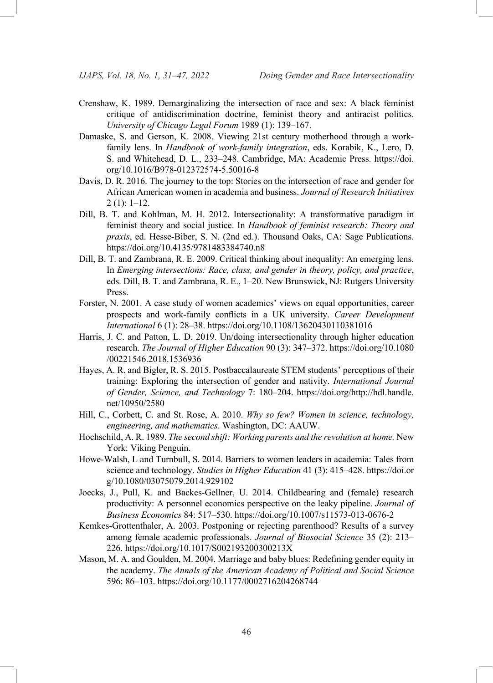- Crenshaw, K. 1989. Demarginalizing the intersection of race and sex: A black feminist critique of antidiscrimination doctrine, feminist theory and antiracist politics. *University of Chicago Legal Forum* 1989 (1): 139–167.
- Damaske, S. and Gerson, K. 2008. Viewing 21st century motherhood through a workfamily lens. In *Handbook of work-family integration*, eds. Korabik, K., Lero, D. S. and Whitehead, D. L., 233–248. Cambridge, MA: Academic Press. [https://doi.](https://doi.org/10.1016/B978-012372574-5.50016-8) [org/10.1016/B978-012372574-5.50016-8](https://doi.org/10.1016/B978-012372574-5.50016-8)
- Davis, D. R. 2016. The journey to the top: Stories on the intersection of race and gender for African American women in academia and business. *Journal of Research Initiatives* 2 (1): 1–12.
- Dill, B. T. and Kohlman, M. H. 2012. Intersectionality: A transformative paradigm in feminist theory and social justice. In *Handbook of feminist research: Theory and praxis*, ed. Hesse-Biber, S. N. (2nd ed.). Thousand Oaks, CA: Sage Publications. <https://doi.org/10.4135/9781483384740.n8>
- Dill, B. T. and Zambrana, R. E. 2009. Critical thinking about inequality: An emerging lens. In *Emerging intersections: Race, class, and gender in theory, policy, and practice*, eds. Dill, B. T. and Zambrana, R. E., 1–20. New Brunswick, NJ: Rutgers University Press.
- Forster, N. 2001. A case study of women academics' views on equal opportunities, career prospects and work-family conflicts in a UK university. *Career Development International* 6 (1): 28–38.<https://doi.org/10.1108/13620430110381016>
- Harris, J. C. and Patton, L. D. 2019. Un/doing intersectionality through higher education research. *The Journal of Higher Education* 90 (3): 347–372. [https://doi.org/10.1080](https://doi.org/10.1080/00221546.2018.1536936) [/00221546.2018.1536936](https://doi.org/10.1080/00221546.2018.1536936)
- Hayes, A. R. and Bigler, R. S. 2015. Postbaccalaureate STEM students' perceptions of their training: Exploring the intersection of gender and nativity. *International Journal of Gender, Science, and Technology* 7: 180–204. [https://doi.org/http://hdl.handle.](https://doi.org/http://hdl.handle.net/10950/2580) [net/10950/2580](https://doi.org/http://hdl.handle.net/10950/2580)
- Hill, C., Corbett, C. and St. Rose, A. 2010. *Why so few? Women in science, technology, engineering, and mathematics*. Washington, DC: AAUW.
- Hochschild, A. R. 1989. *The second shift: Working parents and the revolution at home.* New York: Viking Penguin.
- Howe-Walsh, L and Turnbull, S. 2014. Barriers to women leaders in academia: Tales from science and technology. *Studies in Higher Education* 41 (3): 415–428. [https://doi.or](https://doi.org/10.1080/03075079.2014.929102) [g/10.1080/03075079.2014.929102](https://doi.org/10.1080/03075079.2014.929102)
- Joecks, J., Pull, K. and Backes-Gellner, U. 2014. Childbearing and (female) research productivity: A personnel economics perspective on the leaky pipeline. *Journal of Business Economics* 84: 517–530.<https://doi.org/10.1007/s11573-013-0676-2>
- Kemkes-Grottenthaler, A. 2003. Postponing or rejecting parenthood? Results of a survey among female academic professionals. *Journal of Biosocial Science* 35 (2): 213– 226. <https://doi.org/10.1017/S002193200300213X>
- Mason, M. A. and Goulden, M. 2004. Marriage and baby blues: Redefining gender equity in the academy. *The Annals of the American Academy of Political and Social Science* 596: 86–103. <https://doi.org/10.1177/0002716204268744>